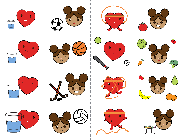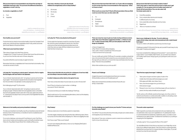| Did you know that it is recommended to eat at least five servings of<br>vegetables and fruits a day? Do you know the difference between a<br>vegetable or a fruit? Let's try:<br>Is a tomato a vegetable or a fruit?<br>A. Fruit<br>B. Vegetable<br>A fruit is the ripe fbwer of a plant."<br>Correct Answer: A - Tomatoes are a fruit.<br>Challenge #1: E - Eat Fruits and Vegetables<br>How healthy was your lunch?<br>Food is the fuel you need to move and be healthy. As per the Canadian Food<br>guide, every meal should have vegetables and/or fruits, protein and whole<br>grain foods. Based on the picture below:<br>What was in your lunch box today?<br>Take a piece of paper and make three columns:<br>1. Veggies/fruit, 2. Protein Foods and 3. Whole Grain foods. Now list the items<br>in your lunch box that fall under each of these categories.<br>If you did not fill all the columns today, try again tomorrow.<br>Remember that fruits or vegetables don't have to be fresh to be healthy-they<br>can also be canned or frozen. | How many minutes or hours per day should<br>children be energetically active to keep healthy?<br>А.<br>30 minutes<br>В.<br>45 minutes<br>C.<br>1hour<br>D.<br>2 hours<br>How long have you been active today?<br>active for at least an hour every single day.<br>Correct answer: C - Kids should be energetically<br>Challenge #1: A - Active for 1 Hour or More<br>Let's play the "Find a new physical activity game"<br>Find an adult who has been on earth for more than 40 years,<br>like Jump! (ex: parent, grandparent, teacher etc.) Ask them<br>what some of their favourite physical activities were to do<br>when they were your age until they've listed one you haven't<br>tried! Ask them to teach you. | Did you know that more than half of all 5- to 17-year-olds are engaging<br>in more screen time than is recommended for their age group - which<br>is 2 hours or less?<br>What counts as screen time? Check all the boxes below that you think<br>count as screen time (you can also select all):<br>A. TV<br>В.<br>Computer<br>C.<br>Smartphone<br>D.<br>Tablet<br>Е.<br>Game consoles<br>devices count as screen time.<br>Correct answer: All of the above. All of these<br>Challenge #1: $S$ - Screens for 2 Hours or Less<br>There are many fun ways to get your body moving and leave screens<br>aside. Pick one of the below suggested activities - or think of a new<br>one - to play at recess today. After you have played, mark the chal-<br>lenge as completed.<br>o Have a 3-legged race<br>o Play TAG for 5 minutes without stopping<br>o Run, walk or wheel a complete lap of the school yard<br>o Teach someone how to jump rope<br>You can modify each activity YOUR way. For example, complete a wheelchair<br>race, or tie one end of the rope to a bench so you can swing the other end of<br>the rope with your other arm, or move to the music and freeze when the music<br>stops. There are many possibilities!<br>Which other activities can you come up with? | Did you know that half of your body is made of water?<br>That is why water is important and you have to make sure to get<br>enough of it. Can you guess what our bodies need water for?<br>Check all the boxes below (You can also select all)<br>Our body needs water to:<br>A. Cool off by sweating<br>B. Carry nutrients (like vitamins and minerals)<br>to different parts of our body<br>Carry waste (like carbon dioxide) out of our body<br>C.<br>Digest food<br>D.<br>Е.<br>Allow our muscles to contract<br>innational os si<br>Correct answer: All of the above. Now you know why drinking enough water<br>Challenge #1: Y - Yes to Water, No to Sugary Drinks<br>Here is your challenge for the day: Try not to drink any<br>sugary drinks today, only water and unsweetened milk or plant based<br>beverages.*<br>*Except for children with diabetes experiencing a low blood sugar<br>Challenge accepted? At the end of the day, ask yourself if it was it easy to only<br>drink water? Could you do it again?<br>If you have completed the challenge and have picked "Y-yes to water, No to<br>sugary drinks" in your Healthy Habit Tracker, you can enter it as a streak in<br>your healthy habit tracker. Simply log into your participant center and count<br>your streak! |
|---------------------------------------------------------------------------------------------------------------------------------------------------------------------------------------------------------------------------------------------------------------------------------------------------------------------------------------------------------------------------------------------------------------------------------------------------------------------------------------------------------------------------------------------------------------------------------------------------------------------------------------------------------------------------------------------------------------------------------------------------------------------------------------------------------------------------------------------------------------------------------------------------------------------------------------------------------------------------------------------------------------------------------------------------------|-----------------------------------------------------------------------------------------------------------------------------------------------------------------------------------------------------------------------------------------------------------------------------------------------------------------------------------------------------------------------------------------------------------------------------------------------------------------------------------------------------------------------------------------------------------------------------------------------------------------------------------------------------------------------------------------------------------------------|--------------------------------------------------------------------------------------------------------------------------------------------------------------------------------------------------------------------------------------------------------------------------------------------------------------------------------------------------------------------------------------------------------------------------------------------------------------------------------------------------------------------------------------------------------------------------------------------------------------------------------------------------------------------------------------------------------------------------------------------------------------------------------------------------------------------------------------------------------------------------------------------------------------------------------------------------------------------------------------------------------------------------------------------------------------------------------------------------------------------------------------------------------------------------------------------------------------------------------------------------------------------------------------|---------------------------------------------------------------------------------------------------------------------------------------------------------------------------------------------------------------------------------------------------------------------------------------------------------------------------------------------------------------------------------------------------------------------------------------------------------------------------------------------------------------------------------------------------------------------------------------------------------------------------------------------------------------------------------------------------------------------------------------------------------------------------------------------------------------------------------------------------------------------------------------------------------------------------------------------------------------------------------------------------------------------------------------------------------------------------------------------------------------------------------------------------------------------------------------------------------------------------------------------------------------------------------------------|
| Let's play the "I am going on a picnic game" and pack a fruit or vegeta-<br>ble that begins with each letter in the alphabet.<br>You or a friend/classmate starts with, "I am going on a picnic and I am bring-<br>ing an apple". The next person repeats the line and adds a fruit/vegetable<br>from the next letter in the alphabet. Continue playing from A-Z.<br>Not challenging enough? Try this version:<br>You or a friend/classmate starts with, "I am going on a picnic and I am<br>bringing an apple". Whatever letter the fruit/vegetable ends in, is the letter<br>the next fruit/vegetable needs to start with. In this case, apple ends with an<br>"e"- meaning the next player has to come up with a fruit/vegetable that starts<br>with the letter "e".                                                                                                                                                                                                                                                                                 | Did you know that kids who are active for a minimum of one hour daily<br>are more likely to become healthy, active adults?<br>In order to keep you active, here is a fun game for you:<br>How many consecutive skips of a jump rope can you do in 40 seconds?<br>Done? Now try to beat your best number or challenge<br>your parent/ friend/ classmate.<br>Of course we invite you to modify this challenge YOUR way.<br>Want to add more fun: For more skipping alternatives, check out the skipping<br>Skill Guide in Additional Resources.                                                                                                                                                                         | Power's out Challenge<br>Imagine the power is out all weekend and there are no screens.<br>What activities could you do if the light goes out?<br>Make a list of at least three activities and share those with your<br>family or classmates!                                                                                                                                                                                                                                                                                                                                                                                                                                                                                                                                                                                                                                                                                                                                                                                                                                                                                                                                                                                                                                        | "Spot the less sugary beverages" challenge<br>1. Take a piece of paper and draw a glass of water in the<br>middle. Now think about all the beverages you could<br>fill the glass with (Milk, Juice, Soda, Cola).<br>2. Next, circle the beverages from your list that you<br>think are low in sugar.<br>Research one or two of your circled beverages with your teacher or<br>3.<br>parent. Are they really as healthy as you thought?<br>Tip: Be cautious with artificially sweetened beverages, since they contain no<br>nutrients (and therefore no nutritional beneft), in addition to stimulating a taste<br>for sweet foods and having a high level of acidity.                                                                                                                                                                                                                                                                                                                                                                                                                                                                                                                                                                                                                       |
| Welcome to the healthy and yummy breakfast challenge!<br>To make your breakfast more healthy, top off your breakfast cereal with sliced                                                                                                                                                                                                                                                                                                                                                                                                                                                                                                                                                                                                                                                                                                                                                                                                                                                                                                                 | <b>Play Snakey!</b><br>What you need: one or more friends, a parent or classmates.                                                                                                                                                                                                                                                                                                                                                                                                                                                                                                                                                                                                                                    | For this challenge you need to know your favorite TV show and your<br>favourite song. Ready?                                                                                                                                                                                                                                                                                                                                                                                                                                                                                                                                                                                                                                                                                                                                                                                                                                                                                                                                                                                                                                                                                                                                                                                         | The exotic water experiment<br>Water is good for your body and can also be fun for your taste buds. You                                                                                                                                                                                                                                                                                                                                                                                                                                                                                                                                                                                                                                                                                                                                                                                                                                                                                                                                                                                                                                                                                                                                                                                     |